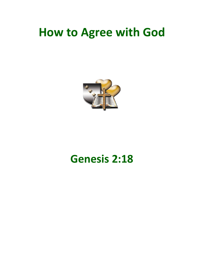## **How to Agree with God**



## **Genesis 2:18**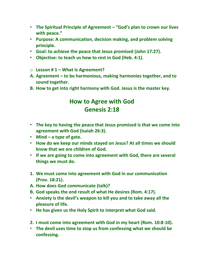- **The Spiritual Principle of Agreement – "God's plan to crown our lives with peace."**
- **Purpose: A communication, decision making, and problem solving principle.**
- **Goal: to achieve the peace that Jesus promised (John 17:27).**
- **Objective: to teach us how to rest in God (Heb. 4:1).**
- o **Lesson # 1 – What Is Agreement?**
- **A. Agreement – to be harmonious, making harmonies together, and to sound together.**
- **B. How to get into right harmony with God. Jesus is the master key.**

## **How to Agree with God Genesis 2:18**

- **The key to having the peace that Jesus promised is that we come into agreement with God (Isaiah 26:3).**
- **Mind – a type of gate.**
- **How do we keep our minds stayed on Jesus? At all times we should know that we are children of God.**
- **If we are going to come into agreement with God, there are several things we must do.**
- **1. We must come into agreement with God in our communication (Prov. 18:21).**
- **A. How does God communicate (talk)?**
- **B. God speaks the end result of what He desires (Rom. 4:17).**
- **Anxiety is the devil's weapon to kill you and to take away all the pleasure of life.**
- **He has given us the Holy Spirit to interpret what God said.**
- **2. I must come into agreement with God in my heart (Rom. 10:8-10).**
- **The devil uses time to stop us from confessing what we should be confessing.**